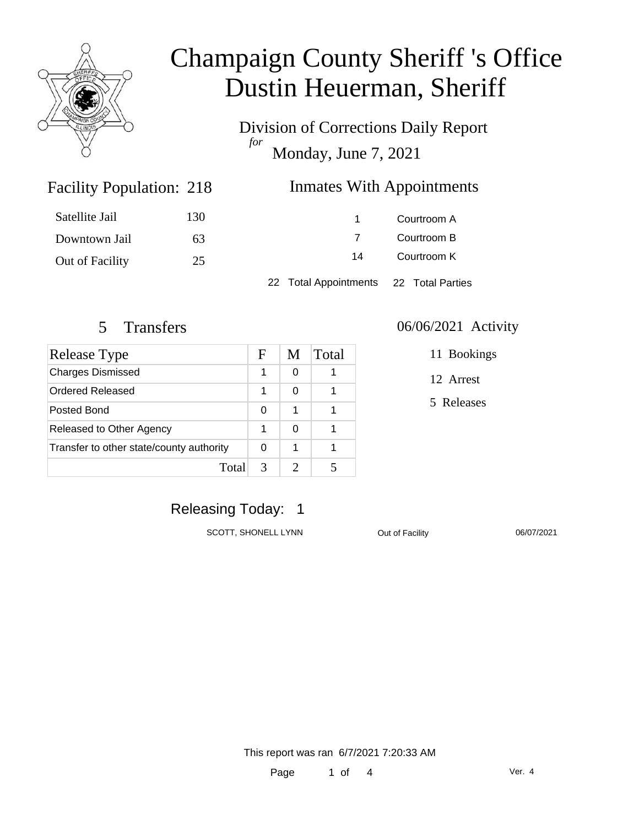

Division of Corrections Daily Report *for* Monday, June 7, 2021

### Inmates With Appointments

| Satellite Jail  | 130 |                                        | Courtroom A |  |
|-----------------|-----|----------------------------------------|-------------|--|
| Downtown Jail   | 63  |                                        | Courtroom B |  |
| Out of Facility | 25  | 14                                     | Courtroom K |  |
|                 |     | 22 Total Appointments 22 Total Parties |             |  |

Facility Population: 218

| <b>Release Type</b>                      |   | M | Total |
|------------------------------------------|---|---|-------|
| <b>Charges Dismissed</b>                 | 1 | 0 |       |
| Ordered Released                         | 1 | O |       |
| Posted Bond                              | O | 1 |       |
| Released to Other Agency                 |   | ∩ |       |
| Transfer to other state/county authority |   | 1 |       |
| Total                                    | 3 |   |       |

#### 5 Transfers 06/06/2021 Activity

11 Bookings

12 Arrest

5 Releases

### Releasing Today: 1

SCOTT, SHONELL LYNN Out of Facility 06/07/2021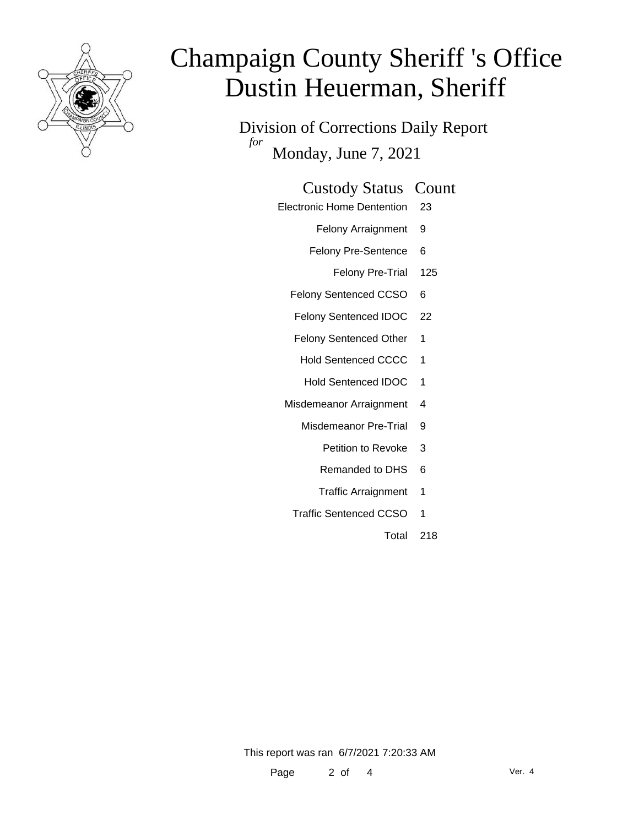

Division of Corrections Daily Report *for* Monday, June 7, 2021

| <b>Custody Status Count</b> |  |  |
|-----------------------------|--|--|
|-----------------------------|--|--|

Electronic Home Dentention 23

Felony Arraignment 9

Felony Pre-Sentence 6

Felony Pre-Trial 125

Felony Sentenced CCSO 6

Felony Sentenced IDOC 22

Felony Sentenced Other 1

Hold Sentenced CCCC 1

Hold Sentenced IDOC 1

Misdemeanor Arraignment 4

Misdemeanor Pre-Trial 9

- Petition to Revoke 3
- Remanded to DHS 6
- Traffic Arraignment 1
- Traffic Sentenced CCSO 1

Total 218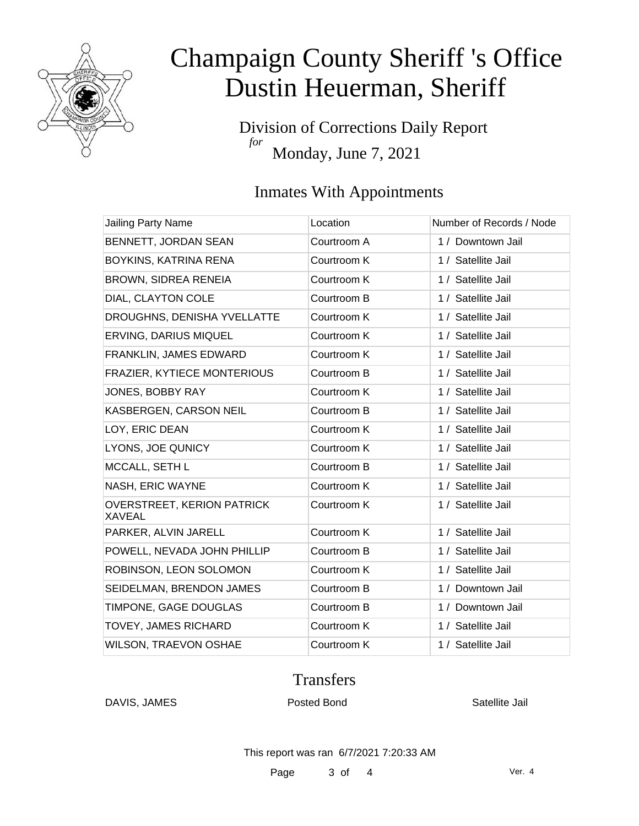

Division of Corrections Daily Report *for* Monday, June 7, 2021

### Inmates With Appointments

| <b>Jailing Party Name</b>                          | Location    | Number of Records / Node |
|----------------------------------------------------|-------------|--------------------------|
| BENNETT, JORDAN SEAN                               | Courtroom A | 1 / Downtown Jail        |
| BOYKINS, KATRINA RENA                              | Courtroom K | 1 / Satellite Jail       |
| BROWN, SIDREA RENEIA                               | Courtroom K | 1 / Satellite Jail       |
| DIAL, CLAYTON COLE                                 | Courtroom B | 1 / Satellite Jail       |
| DROUGHNS, DENISHA YVELLATTE                        | Courtroom K | 1 / Satellite Jail       |
| ERVING, DARIUS MIQUEL                              | Courtroom K | 1 / Satellite Jail       |
| FRANKLIN, JAMES EDWARD                             | Courtroom K | 1 / Satellite Jail       |
| FRAZIER, KYTIECE MONTERIOUS                        | Courtroom B | 1 / Satellite Jail       |
| JONES, BOBBY RAY                                   | Courtroom K | 1 / Satellite Jail       |
| KASBERGEN, CARSON NEIL                             | Courtroom B | 1 / Satellite Jail       |
| LOY, ERIC DEAN                                     | Courtroom K | 1 / Satellite Jail       |
| LYONS, JOE QUNICY                                  | Courtroom K | 1 / Satellite Jail       |
| MCCALL, SETH L                                     | Courtroom B | 1 / Satellite Jail       |
| NASH, ERIC WAYNE                                   | Courtroom K | 1 / Satellite Jail       |
| <b>OVERSTREET, KERION PATRICK</b><br><b>XAVEAL</b> | Courtroom K | 1 / Satellite Jail       |
| PARKER, ALVIN JARELL                               | Courtroom K | 1 / Satellite Jail       |
| POWELL, NEVADA JOHN PHILLIP                        | Courtroom B | 1 / Satellite Jail       |
| ROBINSON, LEON SOLOMON                             | Courtroom K | 1 / Satellite Jail       |
| SEIDELMAN, BRENDON JAMES                           | Courtroom B | 1 / Downtown Jail        |
| TIMPONE, GAGE DOUGLAS                              | Courtroom B | 1 / Downtown Jail        |
| <b>TOVEY, JAMES RICHARD</b>                        | Courtroom K | 1 / Satellite Jail       |
| <b>WILSON, TRAEVON OSHAE</b>                       | Courtroom K | 1 / Satellite Jail       |

#### **Transfers**

DAVIS, JAMES **Posted Bond** Posted Bond Satellite Jail